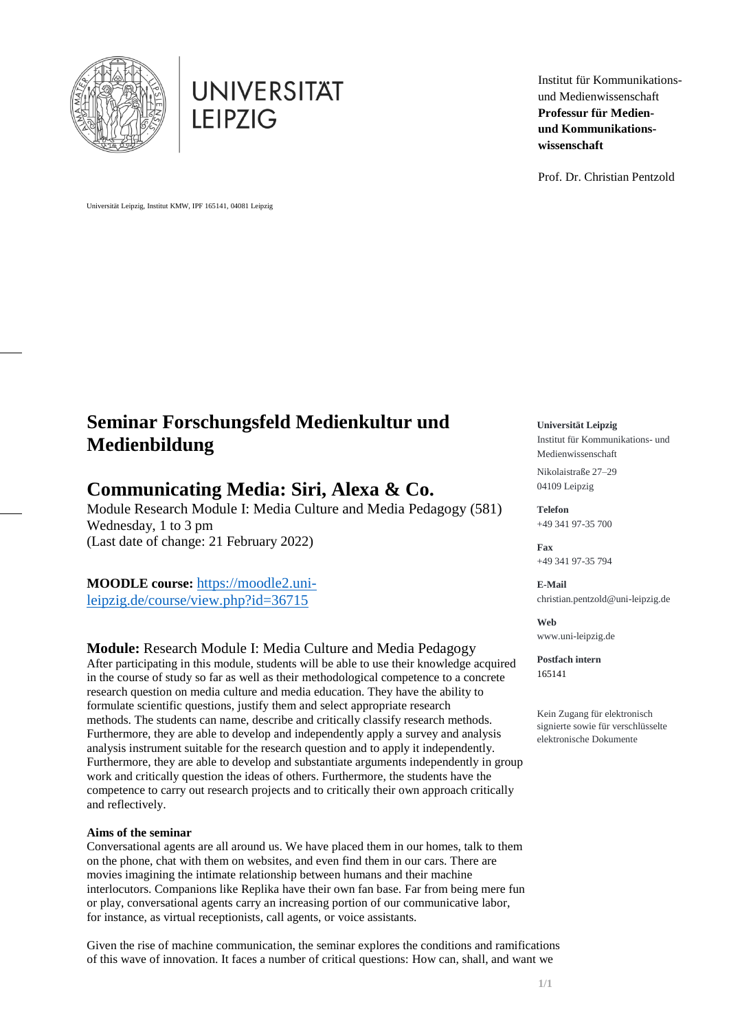



Institut für Kommunikationsund Medienwissenschaft **Professur für Medienund Kommunikationswissenschaft**

Prof. Dr. Christian Pentzold

Universität Leipzig, Institut KMW, IPF 165141, 04081 Leipzig

# **Seminar Forschungsfeld Medienkultur und Medienbildung**

# **Communicating Media: Siri, Alexa & Co.**

Module Research Module I: Media Culture and Media Pedagogy (581) Wednesday, 1 to 3 pm (Last date of change: 21 February 2022)

**MOODLE course:** [https://moodle2.uni](https://moodle2.uni-leipzig.de/course/view.php?id=36715)[leipzig.de/course/view.php?id=36715](https://moodle2.uni-leipzig.de/course/view.php?id=36715)

# **Module:** Research Module I: Media Culture and Media Pedagogy

After participating in this module, students will be able to use their knowledge acquired in the course of study so far as well as their methodological competence to a concrete research question on media culture and media education. They have the ability to formulate scientific questions, justify them and select appropriate research methods. The students can name, describe and critically classify research methods. Furthermore, they are able to develop and independently apply a survey and analysis analysis instrument suitable for the research question and to apply it independently. Furthermore, they are able to develop and substantiate arguments independently in group work and critically question the ideas of others. Furthermore, the students have the competence to carry out research projects and to critically their own approach critically and reflectively.

# **Aims of the seminar**

Conversational agents are all around us. We have placed them in our homes, talk to them on the phone, chat with them on websites, and even find them in our cars. There are movies imagining the intimate relationship between humans and their machine interlocutors. Companions like Replika have their own fan base. Far from being mere fun or play, conversational agents carry an increasing portion of our communicative labor, for instance, as virtual receptionists, call agents, or voice assistants.

Given the rise of machine communication, the seminar explores the conditions and ramifications of this wave of innovation. It faces a number of critical questions: How can, shall, and want we

**Universität Leipzig**

Institut für Kommunikations- und Medienwissenschaft Nikolaistraße 27–29 04109 Leipzig

**Telefon** +49 341 97-35 700

**Fax** +49 341 97-35 794

**E-Mail** christian.pentzold@uni-leipzig.de

**Web** [www.uni-leipzig.de](http://www.uni-leipzig.de/)

**Postfach intern** 165141

Kein Zugang für elektronisch signierte sowie für verschlüsselte elektronische Dokumente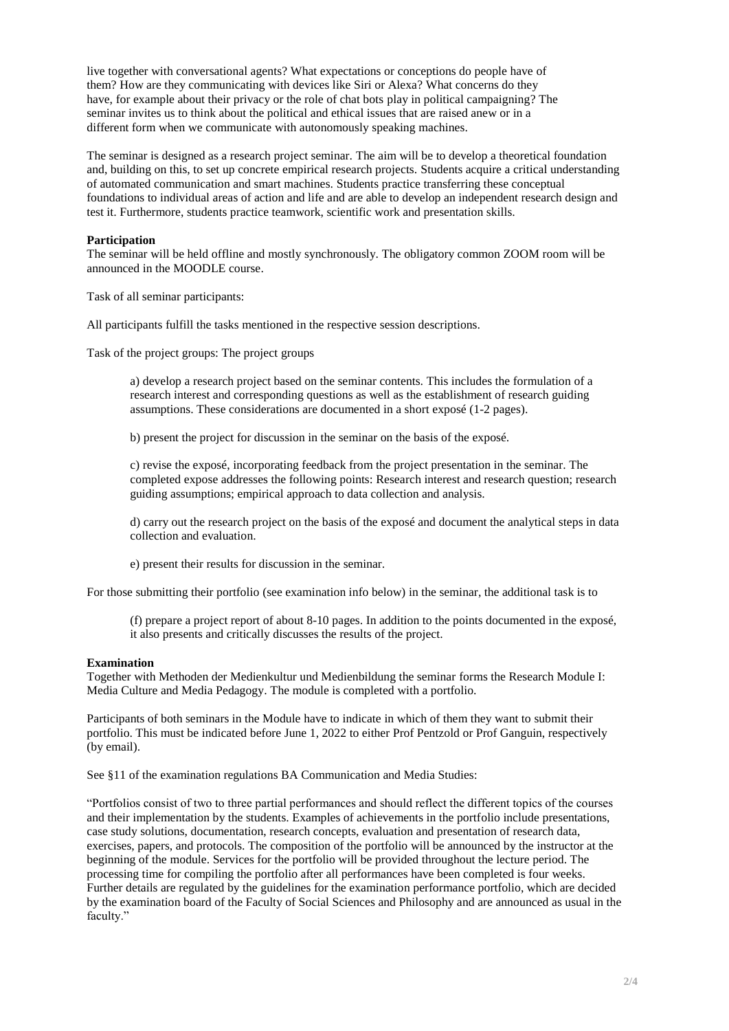live together with conversational agents? What expectations or conceptions do people have of them? How are they communicating with devices like Siri or Alexa? What concerns do they have, for example about their privacy or the role of chat bots play in political campaigning? The seminar invites us to think about the political and ethical issues that are raised anew or in a different form when we communicate with autonomously speaking machines.

The seminar is designed as a research project seminar. The aim will be to develop a theoretical foundation and, building on this, to set up concrete empirical research projects. Students acquire a critical understanding of automated communication and smart machines. Students practice transferring these conceptual foundations to individual areas of action and life and are able to develop an independent research design and test it. Furthermore, students practice teamwork, scientific work and presentation skills.

#### **Participation**

The seminar will be held offline and mostly synchronously. The obligatory common ZOOM room will be announced in the MOODLE course.

Task of all seminar participants:

All participants fulfill the tasks mentioned in the respective session descriptions.

Task of the project groups: The project groups

a) develop a research project based on the seminar contents. This includes the formulation of a research interest and corresponding questions as well as the establishment of research guiding assumptions. These considerations are documented in a short exposé (1-2 pages).

b) present the project for discussion in the seminar on the basis of the exposé.

c) revise the exposé, incorporating feedback from the project presentation in the seminar. The completed expose addresses the following points: Research interest and research question; research guiding assumptions; empirical approach to data collection and analysis.

d) carry out the research project on the basis of the exposé and document the analytical steps in data collection and evaluation.

e) present their results for discussion in the seminar.

For those submitting their portfolio (see examination info below) in the seminar, the additional task is to

(f) prepare a project report of about 8-10 pages. In addition to the points documented in the exposé, it also presents and critically discusses the results of the project.

#### **Examination**

Together with Methoden der Medienkultur und Medienbildung the seminar forms the Research Module I: Media Culture and Media Pedagogy. The module is completed with a portfolio.

Participants of both seminars in the Module have to indicate in which of them they want to submit their portfolio. This must be indicated before June 1, 2022 to either Prof Pentzold or Prof Ganguin, respectively (by email).

See §11 of the examination regulations BA Communication and Media Studies:

"Portfolios consist of two to three partial performances and should reflect the different topics of the courses and their implementation by the students. Examples of achievements in the portfolio include presentations, case study solutions, documentation, research concepts, evaluation and presentation of research data, exercises, papers, and protocols. The composition of the portfolio will be announced by the instructor at the beginning of the module. Services for the portfolio will be provided throughout the lecture period. The processing time for compiling the portfolio after all performances have been completed is four weeks. Further details are regulated by the guidelines for the examination performance portfolio, which are decided by the examination board of the Faculty of Social Sciences and Philosophy and are announced as usual in the faculty."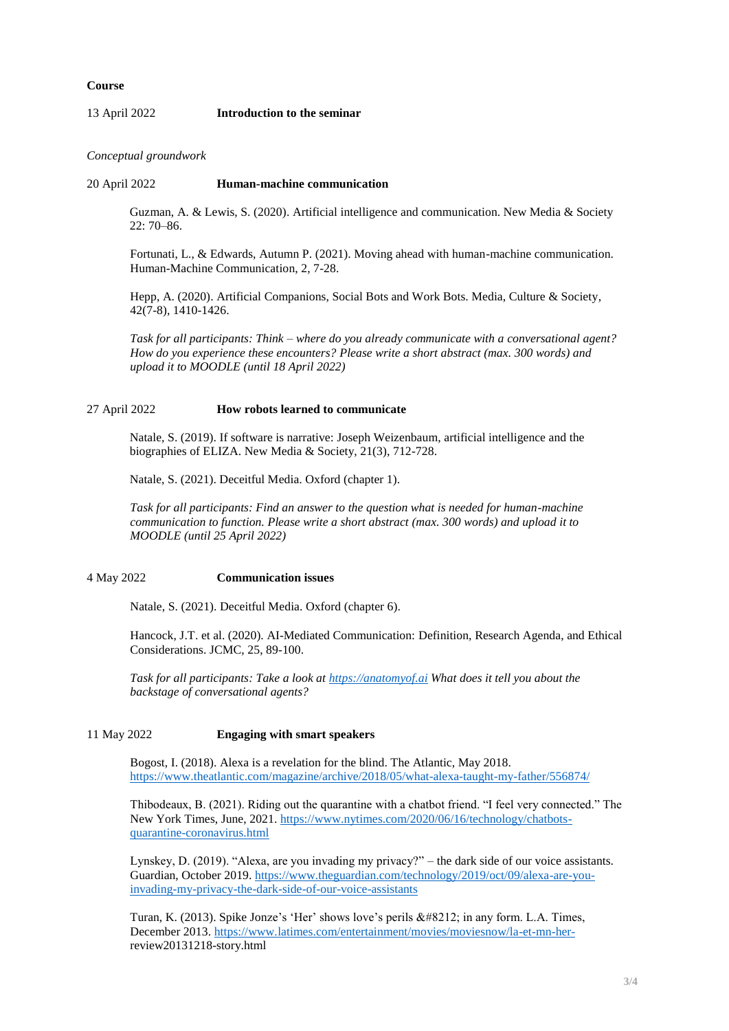#### **Course**

#### 13 April 2022 **Introduction to the seminar**

*Conceptual groundwork*

#### 20 April 2022 **Human-machine communication**

Guzman, A. & Lewis, S. (2020). Artificial intelligence and communication. New Media & Society 22: 70–86.

Fortunati, L., & Edwards, Autumn P. (2021). Moving ahead with human-machine communication. Human-Machine Communication, 2, 7-28.

Hepp, A. (2020). Artificial Companions, Social Bots and Work Bots. Media, Culture & Society, 42(7-8), 1410-1426.

*Task for all participants: Think – where do you already communicate with a conversational agent? How do you experience these encounters? Please write a short abstract (max. 300 words) and upload it to MOODLE (until 18 April 2022)*

#### 27 April 2022 **How robots learned to communicate**

Natale, S. (2019). If software is narrative: Joseph Weizenbaum, artificial intelligence and the biographies of ELIZA. New Media & Society, 21(3), 712-728.

Natale, S. (2021). Deceitful Media. Oxford (chapter 1).

*Task for all participants: Find an answer to the question what is needed for human-machine communication to function. Please write a short abstract (max. 300 words) and upload it to MOODLE (until 25 April 2022)*

# 4 May 2022 **Communication issues**

Natale, S. (2021). Deceitful Media. Oxford (chapter 6).

Hancock, J.T. et al. (2020). AI-Mediated Communication: Definition, Research Agenda, and Ethical Considerations. JCMC, 25, 89-100.

*Task for all participants: Take a look a[t https://anatomyof.ai](https://anatomyof.ai/) What does it tell you about the backstage of conversational agents?*

#### 11 May 2022 **Engaging with smart speakers**

Bogost, I. (2018). Alexa is a revelation for the blind. The Atlantic, May 2018. <https://www.theatlantic.com/magazine/archive/2018/05/what-alexa-taught-my-father/556874/>

Thibodeaux, B. (2021). Riding out the quarantine with a chatbot friend. "I feel very connected." The New York Times, June, 2021. [https://www.nytimes.com/2020/06/16/technology/chatbots](https://www.nytimes.com/2020/06/16/technology/chatbots-quarantine-coronavirus.html)[quarantine-coronavirus.html](https://www.nytimes.com/2020/06/16/technology/chatbots-quarantine-coronavirus.html)

Lynskey, D. (2019). "Alexa, are you invading my privacy?" – the dark side of our voice assistants. Guardian, October 2019. [https://www.theguardian.com/technology/2019/oct/09/alexa-are-you](https://www.theguardian.com/technology/2019/oct/09/alexa-are-you-invading-my-privacy-the-dark-side-of-our-voice-assistants)[invading-my-privacy-the-dark-side-of-our-voice-assistants](https://www.theguardian.com/technology/2019/oct/09/alexa-are-you-invading-my-privacy-the-dark-side-of-our-voice-assistants)

Turan, K. (2013). Spike Jonze's 'Her' shows love's perils  $&\#8212$ ; in any form. L.A. Times, December 2013. [https://www.latimes.com/entertainment/movies/moviesnow/la-et-mn-her](https://www.latimes.com/entertainment/movies/moviesnow/la-et-mn-her-)review20131218-story.html